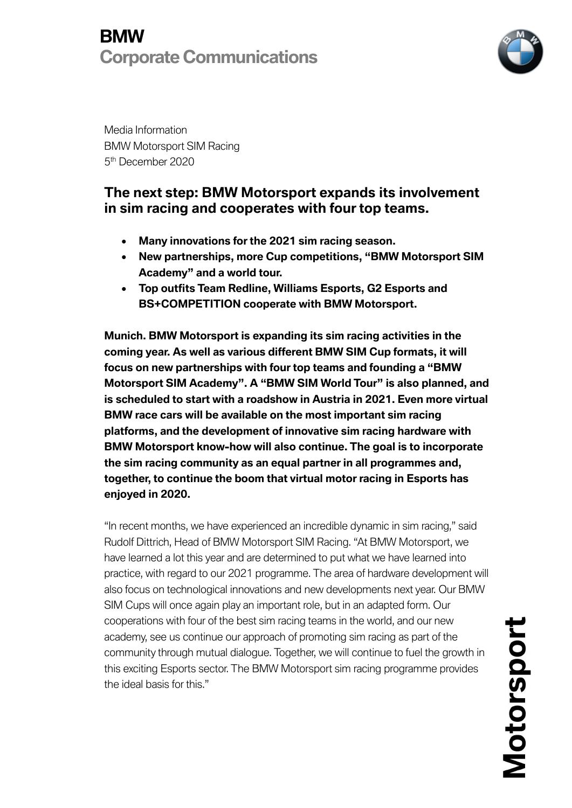# **BMW Corporate Communications**



Media Information BMW Motorsport SIM Racing 5th December 2020

# **The next step: BMW Motorsport expands its involvement in sim racing and cooperates with four top teams.**

- **Many innovations for the 2021 sim racing season.**
- **New partnerships, more Cup competitions, "BMW Motorsport SIM Academy" and a world tour.**
- **Top outfits Team Redline, Williams Esports, G2 Esports and BS+COMPETITION cooperate with BMW Motorsport.**

**Munich. BMW Motorsport is expanding its sim racing activities in the coming year. As well as various different BMW SIM Cup formats, it will focus on new partnerships with four top teams and founding a "BMW Motorsport SIM Academy". A "BMW SIM World Tour" is also planned, and is scheduled to start with a roadshow in Austria in 2021. Even more virtual BMW race cars will be available on the most important sim racing platforms, and the development of innovative sim racing hardware with BMW Motorsport know-how will also continue. The goal is to incorporate the sim racing community as an equal partner in all programmes and, together, to continue the boom that virtual motor racing in Esports has enjoyed in 2020.**

"In recent months, we have experienced an incredible dynamic in sim racing," said Rudolf Dittrich, Head of BMW Motorsport SIM Racing. "At BMW Motorsport, we have learned a lot this year and are determined to put what we have learned into practice, with regard to our 2021 programme. The area of hardware development will also focus on technological innovations and new developments next year. Our BMW SIM Cups will once again play an important role, but in an adapted form. Our cooperations with four of the best sim racing teams in the world, and our new academy, see us continue our approach of promoting sim racing as part of the community through mutual dialogue. Together, we will continue to fuel the growth in this exciting Esports sector. The BMW Motorsport sim racing programme provides the ideal basis for this."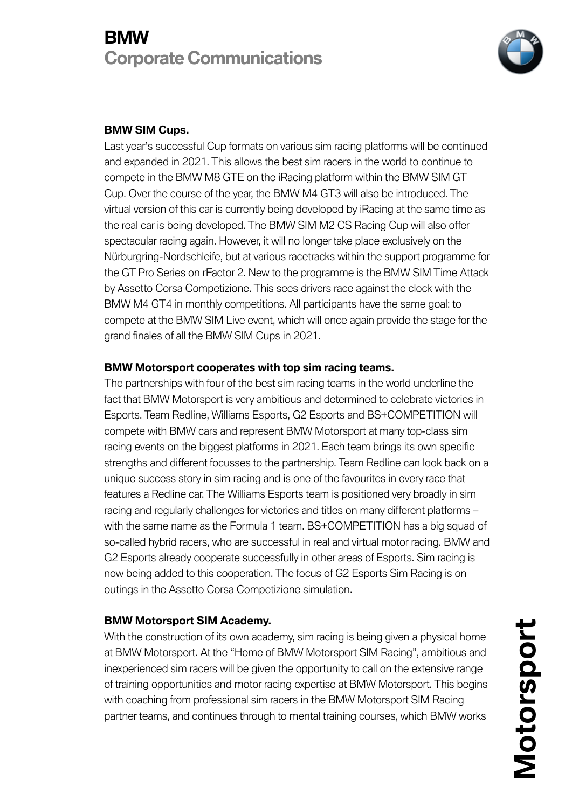# **BMW Corporate Communications**



# **BMW SIM Cups.**

Last year's successful Cup formats on various sim racing platforms will be continued and expanded in 2021. This allows the best sim racers in the world to continue to compete in the BMW M8 GTE on the iRacing platform within the BMW SIM GT Cup. Over the course of the year, the BMW M4 GT3 will also be introduced. The virtual version of this car is currently being developed by iRacing at the same time as the real car is being developed. The BMW SIM M2 CS Racing Cup will also offer spectacular racing again. However, it will no longer take place exclusively on the Nürburgring-Nordschleife, but at various racetracks within the support programme for the GT Pro Series on rFactor 2. New to the programme is the BMW SIM Time Attack by Assetto Corsa Competizione. This sees drivers race against the clock with the BMW M4 GT4 in monthly competitions. All participants have the same goal: to compete at the BMW SIM Live event, which will once again provide the stage for the grand finales of all the BMW SIM Cups in 2021.

### **BMW Motorsport cooperates with top sim racing teams.**

The partnerships with four of the best sim racing teams in the world underline the fact that BMW Motorsport is very ambitious and determined to celebrate victories in Esports. Team Redline, Williams Esports, G2 Esports and BS+COMPETITION will compete with BMW cars and represent BMW Motorsport at many top-class sim racing events on the biggest platforms in 2021. Each team brings its own specific strengths and different focusses to the partnership. Team Redline can look back on a unique success story in sim racing and is one of the favourites in every race that features a Redline car. The Williams Esports team is positioned very broadly in sim racing and regularly challenges for victories and titles on many different platforms – with the same name as the Formula 1 team. BS+COMPETITION has a big squad of so-called hybrid racers, who are successful in real and virtual motor racing. BMW and G2 Esports already cooperate successfully in other areas of Esports. Sim racing is now being added to this cooperation. The focus of G2 Esports Sim Racing is on outings in the Assetto Corsa Competizione simulation.

# **BMW Motorsport SIM Academy.**

With the construction of its own academy, sim racing is being given a physical home at BMW Motorsport. At the "Home of BMW Motorsport SIM Racing", ambitious and inexperienced sim racers will be given the opportunity to call on the extensive range of training opportunities and motor racing expertise at BMW Motorsport. This begins with coaching from professional sim racers in the BMW Motorsport SIM Racing partner teams, and continues through to mental training courses, which BMW works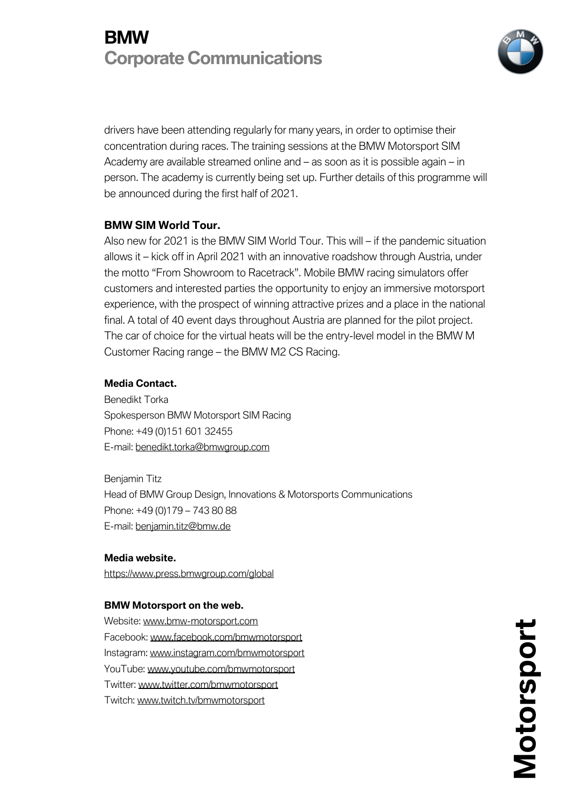# **BMW Corporate Communications**



drivers have been attending regularly for many years, in order to optimise their concentration during races. The training sessions at the BMW Motorsport SIM Academy are available streamed online and – as soon as it is possible again – in person. The academy is currently being set up. Further details of this programme will be announced during the first half of 2021.

# **BMW SIM World Tour.**

Also new for 2021 is the BMW SIM World Tour. This will – if the pandemic situation allows it – kick off in April 2021 with an innovative roadshow through Austria, under the motto "From Showroom to Racetrack". Mobile BMW racing simulators offer customers and interested parties the opportunity to enjoy an immersive motorsport experience, with the prospect of winning attractive prizes and a place in the national final. A total of 40 event days throughout Austria are planned for the pilot project. The car of choice for the virtual heats will be the entry-level model in the BMW M Customer Racing range – the BMW M2 CS Racing.

# **Media Contact.**

Benedikt Torka Spokesperson BMW Motorsport SIM Racing Phone: +49 (0)151 601 32455 E-mail: benedikt.torka@bmwgroup.com

Benjamin Titz Head of BMW Group Design, Innovations & Motorsports Communications Phone: +49 (0)179 – 743 80 88 E-mail: benjamin.titz@bmw.de

# **Media website.**

https://www.press.bmwgroup.com/global

# **BMW Motorsport on the web.**

Website: www.bmw-motorsport.com Facebook: www.facebook.com/bmwmotorsport Instagram: www.instagram.com/bmwmotorsport YouTube: www.youtube.com/bmwmotorsport Twitter: www.twitter.com/bmwmotorsport Twitch: www.twitch.tv/bmwmotorsport